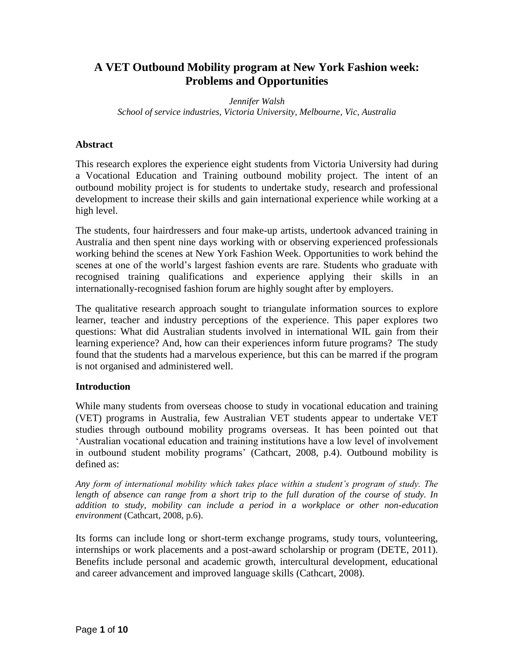# **A VET Outbound Mobility program at New York Fashion week: Problems and Opportunities**

*Jennifer Walsh School of service industries, Victoria University, Melbourne, Vic, Australia* 

### **Abstract**

This research explores the experience eight students from Victoria University had during a Vocational Education and Training outbound mobility project. The intent of an outbound mobility project is for students to undertake study, research and professional development to increase their skills and gain international experience while working at a high level.

The students, four hairdressers and four make-up artists, undertook advanced training in Australia and then spent nine days working with or observing experienced professionals working behind the scenes at New York Fashion Week. Opportunities to work behind the scenes at one of the world's largest fashion events are rare. Students who graduate with recognised training qualifications and experience applying their skills in an internationally-recognised fashion forum are highly sought after by employers.

The qualitative research approach sought to triangulate information sources to explore learner, teacher and industry perceptions of the experience. This paper explores two questions: What did Australian students involved in international WIL gain from their learning experience? And, how can their experiences inform future programs? The study found that the students had a marvelous experience, but this can be marred if the program is not organised and administered well.

## **Introduction**

While many students from overseas choose to study in vocational education and training (VET) programs in Australia, few Australian VET students appear to undertake VET studies through outbound mobility programs overseas. It has been pointed out that 'Australian vocational education and training institutions have a low level of involvement in outbound student mobility programs' [\(Cathcart, 2008, p.4\)](#page-9-0). Outbound mobility is defined as:

*Any form of international mobility which takes place within a student's program of study. The length of absence can range from a short trip to the full duration of the course of study. In addition to study, mobility can include a period in a workplace or other non-education environment* [\(Cathcart, 2008, p.6\)](#page-9-0).

Its forms can include long or short-term exchange programs, study tours, volunteering, internships or work placements and a post-award scholarship or program [\(DETE, 2011\)](#page-9-1). Benefits include personal and academic growth, intercultural development, educational and career advancement and improved language skills [\(Cathcart, 2008\)](#page-9-0).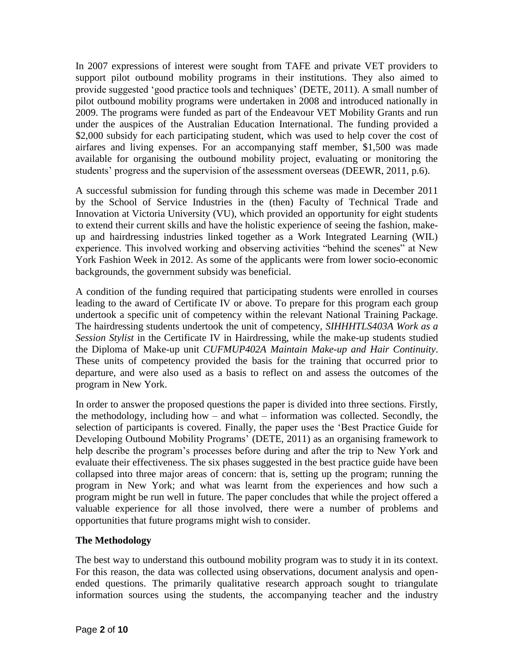In 2007 expressions of interest were sought from TAFE and private VET providers to support pilot outbound mobility programs in their institutions. They also aimed to provide suggested 'good practice tools and techniques' [\(DETE, 2011\)](#page-9-1). A small number of pilot outbound mobility programs were undertaken in 2008 and introduced nationally in 2009. The programs were funded as part of the Endeavour VET Mobility Grants and run under the auspices of the Australian Education International. The funding provided a \$2,000 subsidy for each participating student, which was used to help cover the cost of airfares and living expenses. For an accompanying staff member, \$1,500 was made available for organising the outbound mobility project, evaluating or monitoring the students' progress and the supervision of the assessment overseas [\(DEEWR, 2011, p.6\)](#page-9-2).

A successful submission for funding through this scheme was made in December 2011 by the School of Service Industries in the (then) Faculty of Technical Trade and Innovation at Victoria University (VU), which provided an opportunity for eight students to extend their current skills and have the holistic experience of seeing the fashion, makeup and hairdressing industries linked together as a Work Integrated Learning (WIL) experience. This involved working and observing activities "behind the scenes" at New York Fashion Week in 2012. As some of the applicants were from lower socio-economic backgrounds, the government subsidy was beneficial.

A condition of the funding required that participating students were enrolled in courses leading to the award of Certificate IV or above. To prepare for this program each group undertook a specific unit of competency within the relevant National Training Package. The hairdressing students undertook the unit of competency, *SIHHHTLS403A Work as a Session Stylist* in the Certificate IV in Hairdressing, while the make-up students studied the Diploma of Make-up unit *CUFMUP402A Maintain Make-up and Hair Continuity*. These units of competency provided the basis for the training that occurred prior to departure, and were also used as a basis to reflect on and assess the outcomes of the program in New York.

In order to answer the proposed questions the paper is divided into three sections. Firstly, the methodology, including how – and what – information was collected. Secondly, the selection of participants is covered. Finally, the paper uses the 'Best Practice Guide for Developing Outbound Mobility Programs' [\(DETE, 2011\)](#page-9-1) as an organising framework to help describe the program's processes before during and after the trip to New York and evaluate their effectiveness. The six phases suggested in the best practice guide have been collapsed into three major areas of concern: that is, setting up the program; running the program in New York; and what was learnt from the experiences and how such a program might be run well in future. The paper concludes that while the project offered a valuable experience for all those involved, there were a number of problems and opportunities that future programs might wish to consider.

## **The Methodology**

The best way to understand this outbound mobility program was to study it in its context. For this reason, the data was collected using observations, document analysis and openended questions. The primarily qualitative research approach sought to triangulate information sources using the students, the accompanying teacher and the industry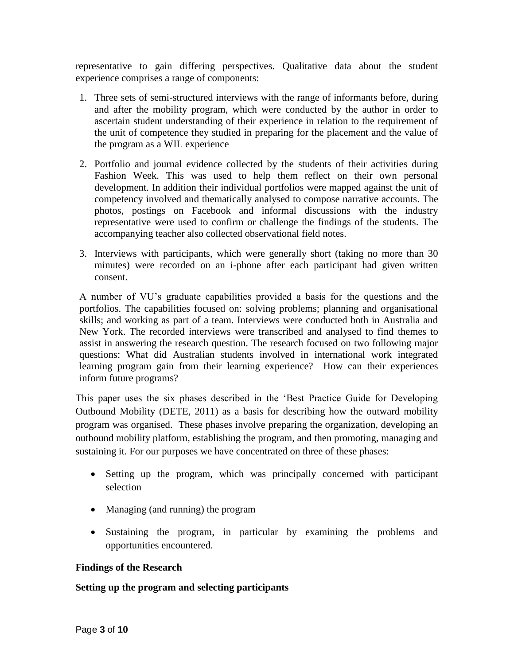representative to gain differing perspectives. Qualitative data about the student experience comprises a range of components:

- 1. Three sets of semi-structured interviews with the range of informants before, during and after the mobility program, which were conducted by the author in order to ascertain student understanding of their experience in relation to the requirement of the unit of competence they studied in preparing for the placement and the value of the program as a WIL experience
- 2. Portfolio and journal evidence collected by the students of their activities during Fashion Week. This was used to help them reflect on their own personal development. In addition their individual portfolios were mapped against the unit of competency involved and thematically analysed to compose narrative accounts. The photos, postings on Facebook and informal discussions with the industry representative were used to confirm or challenge the findings of the students. The accompanying teacher also collected observational field notes.
- 3. Interviews with participants, which were generally short (taking no more than 30 minutes) were recorded on an i-phone after each participant had given written consent.

A number of VU's graduate capabilities provided a basis for the questions and the portfolios. The capabilities focused on: solving problems; planning and organisational skills; and working as part of a team. Interviews were conducted both in Australia and New York. The recorded interviews were transcribed and analysed to find themes to assist in answering the research question. The research focused on two following major questions: What did Australian students involved in international work integrated learning program gain from their learning experience? How can their experiences inform future programs?

This paper uses the six phases described in the 'Best Practice Guide for Developing Outbound Mobility (DETE, 2011) as a basis for describing how the outward mobility program was organised. These phases involve preparing the organization, developing an outbound mobility platform, establishing the program, and then promoting, managing and sustaining it. For our purposes we have concentrated on three of these phases:

- Setting up the program, which was principally concerned with participant selection
- Managing (and running) the program
- Sustaining the program, in particular by examining the problems and opportunities encountered.

## **Findings of the Research**

## **Setting up the program and selecting participants**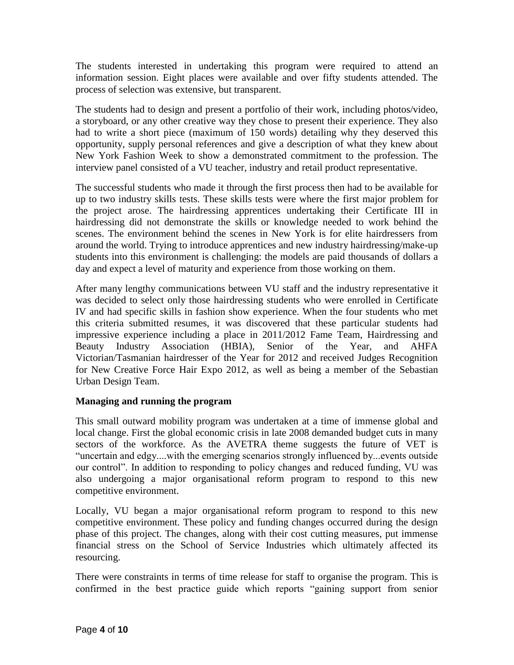The students interested in undertaking this program were required to attend an information session. Eight places were available and over fifty students attended. The process of selection was extensive, but transparent.

The students had to design and present a portfolio of their work, including photos/video, a storyboard, or any other creative way they chose to present their experience. They also had to write a short piece (maximum of 150 words) detailing why they deserved this opportunity, supply personal references and give a description of what they knew about New York Fashion Week to show a demonstrated commitment to the profession. The interview panel consisted of a VU teacher, industry and retail product representative.

The successful students who made it through the first process then had to be available for up to two industry skills tests. These skills tests were where the first major problem for the project arose. The hairdressing apprentices undertaking their Certificate III in hairdressing did not demonstrate the skills or knowledge needed to work behind the scenes. The environment behind the scenes in New York is for elite hairdressers from around the world. Trying to introduce apprentices and new industry hairdressing/make-up students into this environment is challenging: the models are paid thousands of dollars a day and expect a level of maturity and experience from those working on them.

After many lengthy communications between VU staff and the industry representative it was decided to select only those hairdressing students who were enrolled in Certificate IV and had specific skills in fashion show experience. When the four students who met this criteria submitted resumes, it was discovered that these particular students had impressive experience including a place in 2011/2012 Fame Team, Hairdressing and Beauty Industry Association (HBIA), Senior of the Year, and AHFA Victorian/Tasmanian hairdresser of the Year for 2012 and received Judges Recognition for New Creative Force Hair Expo 2012, as well as being a member of the Sebastian Urban Design Team.

## **Managing and running the program**

This small outward mobility program was undertaken at a time of immense global and local change. First the global economic crisis in late 2008 demanded budget cuts in many sectors of the workforce. As the AVETRA theme suggests the future of VET is "uncertain and edgy....with the emerging scenarios strongly influenced by...events outside our control". In addition to responding to policy changes and reduced funding, VU was also undergoing a major organisational reform program to respond to this new competitive environment.

Locally, VU began a major organisational reform program to respond to this new competitive environment. These policy and funding changes occurred during the design phase of this project. The changes, along with their cost cutting measures, put immense financial stress on the School of Service Industries which ultimately affected its resourcing.

There were constraints in terms of time release for staff to organise the program. This is confirmed in the best practice guide which reports "gaining support from senior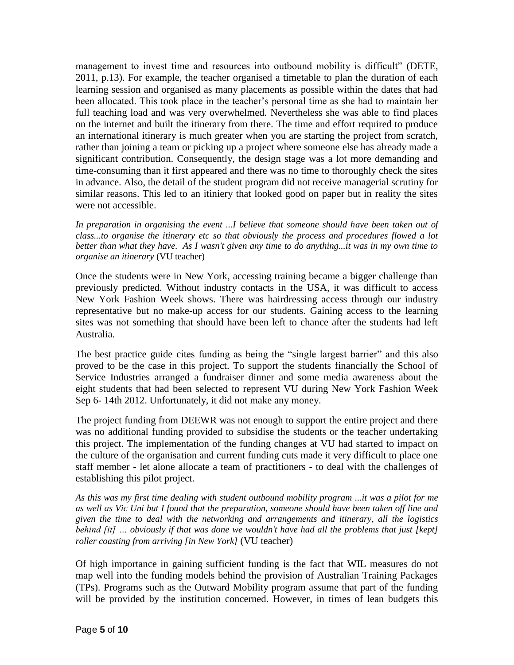management to invest time and resources into outbound mobility is difficult" [\(DETE,](#page-9-1)  [2011, p.13\)](#page-9-1). For example, the teacher organised a timetable to plan the duration of each learning session and organised as many placements as possible within the dates that had been allocated. This took place in the teacher's personal time as she had to maintain her full teaching load and was very overwhelmed. Nevertheless she was able to find places on the internet and built the itinerary from there. The time and effort required to produce an international itinerary is much greater when you are starting the project from scratch, rather than joining a team or picking up a project where someone else has already made a significant contribution. Consequently, the design stage was a lot more demanding and time-consuming than it first appeared and there was no time to thoroughly check the sites in advance. Also, the detail of the student program did not receive managerial scrutiny for similar reasons. This led to an itiniery that looked good on paper but in reality the sites were not accessible.

In preparation in organising the event ...I believe that someone should have been taken out of *class...to organise the itinerary etc so that obviously the process and procedures flowed a lot better than what they have. As I wasn't given any time to do anything...it was in my own time to organise an itinerary* (VU teacher)

Once the students were in New York, accessing training became a bigger challenge than previously predicted. Without industry contacts in the USA, it was difficult to access New York Fashion Week shows. There was hairdressing access through our industry representative but no make-up access for our students. Gaining access to the learning sites was not something that should have been left to chance after the students had left Australia.

The best practice guide cites funding as being the "single largest barrier" and this also proved to be the case in this project. To support the students financially the School of Service Industries arranged a fundraiser dinner and some media awareness about the eight students that had been selected to represent VU during New York Fashion Week Sep 6- 14th 2012. Unfortunately, it did not make any money.

The project funding from DEEWR was not enough to support the entire project and there was no additional funding provided to subsidise the students or the teacher undertaking this project. The implementation of the funding changes at VU had started to impact on the culture of the organisation and current funding cuts made it very difficult to place one staff member - let alone allocate a team of practitioners - to deal with the challenges of establishing this pilot project.

*As this was my first time dealing with student outbound mobility program ...it was a pilot for me as well as Vic Uni but I found that the preparation, someone should have been taken off line and given the time to deal with the networking and arrangements and itinerary, all the logistics behind [it] … obviously if that was done we wouldn't have had all the problems that just [kept] roller coasting from arriving [in New York]* (VU teacher)

Of high importance in gaining sufficient funding is the fact that WIL measures do not map well into the funding models behind the provision of Australian Training Packages (TPs). Programs such as the Outward Mobility program assume that part of the funding will be provided by the institution concerned. However, in times of lean budgets this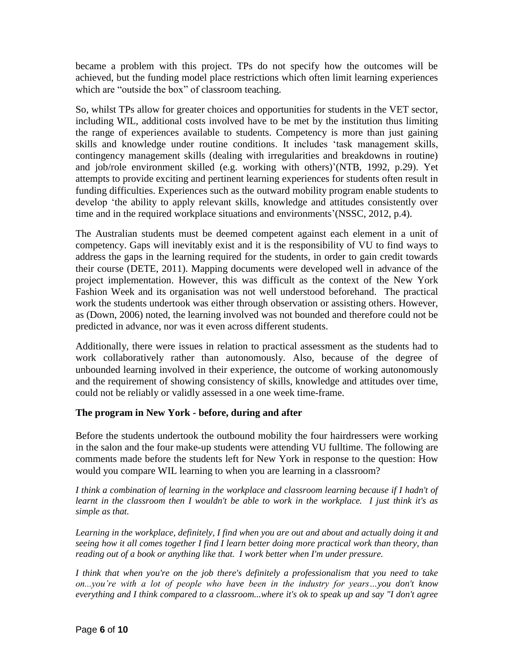became a problem with this project. TPs do not specify how the outcomes will be achieved, but the funding model place restrictions which often limit learning experiences which are "outside the box" of classroom teaching.

So, whilst TPs allow for greater choices and opportunities for students in the VET sector, including WIL, additional costs involved have to be met by the institution thus limiting the range of experiences available to students. Competency is more than just gaining skills and knowledge under routine conditions. It includes 'task management skills, contingency management skills (dealing with irregularities and breakdowns in routine) and job/role environment skilled (e.g. working with others)'[\(NTB, 1992, p.29\)](#page-9-3). Yet attempts to provide exciting and pertinent learning experiences for students often result in funding difficulties. Experiences such as the outward mobility program enable students to develop 'the ability to apply relevant skills, knowledge and attitudes consistently over time and in the required workplace situations and environments'[\(NSSC, 2012, p.4\)](#page-9-4).

The Australian students must be deemed competent against each element in a unit of competency. Gaps will inevitably exist and it is the responsibility of VU to find ways to address the gaps in the learning required for the students, in order to gain credit towards their course [\(DETE, 2011\)](#page-9-1). Mapping documents were developed well in advance of the project implementation. However, this was difficult as the context of the New York Fashion Week and its organisation was not well understood beforehand. The practical work the students undertook was either through observation or assisting others. However, as [\(Down, 2006\)](#page-9-5) noted, the learning involved was not bounded and therefore could not be predicted in advance, nor was it even across different students.

Additionally, there were issues in relation to practical assessment as the students had to work collaboratively rather than autonomously. Also, because of the degree of unbounded learning involved in their experience, the outcome of working autonomously and the requirement of showing consistency of skills, knowledge and attitudes over time, could not be reliably or validly assessed in a one week time-frame.

## **The program in New York - before, during and after**

Before the students undertook the outbound mobility the four hairdressers were working in the salon and the four make-up students were attending VU fulltime. The following are comments made before the students left for New York in response to the question: How would you compare WIL learning to when you are learning in a classroom?

*I think a combination of learning in the workplace and classroom learning because if I hadn't of learnt in the classroom then I wouldn't be able to work in the workplace. I just think it's as simple as that.*

*Learning in the workplace, definitely, I find when you are out and about and actually doing it and seeing how it all comes together I find I learn better doing more practical work than theory, than reading out of a book or anything like that. I work better when I'm under pressure.*

*I think that when you're on the job there's definitely a professionalism that you need to take on...you're with a lot of people who have been in the industry for years…you don't know everything and I think compared to a classroom...where it's ok to speak up and say "I don't agree*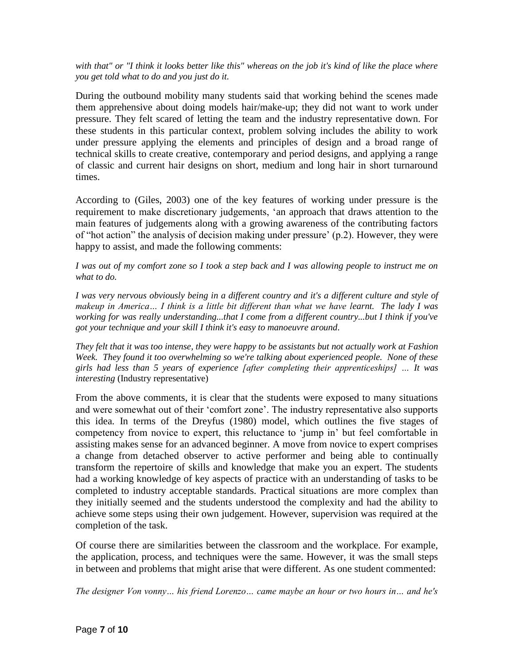### *with that" or "I think it looks better like this" whereas on the job it's kind of like the place where you get told what to do and you just do it.*

During the outbound mobility many students said that working behind the scenes made them apprehensive about doing models hair/make-up; they did not want to work under pressure. They felt scared of letting the team and the industry representative down. For these students in this particular context, problem solving includes the ability to work under pressure applying the elements and principles of design and a broad range of technical skills to create creative, contemporary and period designs, and applying a range of classic and current hair designs on short, medium and long hair in short turnaround times.

According to [\(Giles, 2003\)](#page-9-6) one of the key features of working under pressure is the requirement to make discretionary judgements, 'an approach that draws attention to the main features of judgements along with a growing awareness of the contributing factors of "hot action" the analysis of decision making under pressure' (p.2). However, they were happy to assist, and made the following comments:

### *I was out of my comfort zone so I took a step back and I was allowing people to instruct me on what to do.*

*I was very nervous obviously being in a different country and it's a different culture and style of makeup in America… I think is a little bit different than what we have learnt. The lady I was working for was really understanding...that I come from a different country...but I think if you've got your technique and your skill I think it's easy to manoeuvre around.*

*They felt that it was too intense, they were happy to be assistants but not actually work at Fashion Week. They found it too overwhelming so we're talking about experienced people. None of these girls had less than 5 years of experience [after completing their apprenticeships] … It was interesting* (Industry representative)

From the above comments, it is clear that the students were exposed to many situations and were somewhat out of their 'comfort zone'. The industry representative also supports this idea. In terms of the Dreyfus (1980) model, which outlines the five stages of competency from novice to expert, this reluctance to 'jump in' but feel comfortable in assisting makes sense for an advanced beginner. A move from novice to expert comprises a change from detached observer to active performer and being able to continually transform the repertoire of skills and knowledge that make you an expert. The students had a working knowledge of key aspects of practice with an understanding of tasks to be completed to industry acceptable standards. Practical situations are more complex than they initially seemed and the students understood the complexity and had the ability to achieve some steps using their own judgement. However, supervision was required at the completion of the task.

Of course there are similarities between the classroom and the workplace. For example, the application, process, and techniques were the same. However, it was the small steps in between and problems that might arise that were different. As one student commented:

*The designer Von vonny… his friend Lorenzo… came maybe an hour or two hours in… and he's*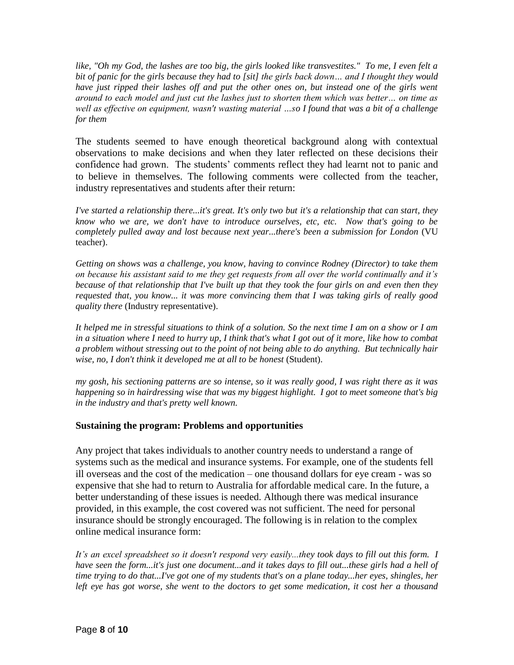*like, "Oh my God, the lashes are too big, the girls looked like transvestites." To me, I even felt a bit of panic for the girls because they had to [sit] the girls back down… and I thought they would have just ripped their lashes off and put the other ones on, but instead one of the girls went around to each model and just cut the lashes just to shorten them which was better… on time as well as effective on equipment, wasn't wasting material …so I found that was a bit of a challenge for them* 

The students seemed to have enough theoretical background along with contextual observations to make decisions and when they later reflected on these decisions their confidence had grown. The students' comments reflect they had learnt not to panic and to believe in themselves. The following comments were collected from the teacher, industry representatives and students after their return:

*I've started a relationship there...it's great. It's only two but it's a relationship that can start, they know who we are, we don't have to introduce ourselves, etc, etc. Now that's going to be completely pulled away and lost because next year...there's been a submission for London* (VU teacher).

*Getting on shows was a challenge, you know, having to convince Rodney (Director) to take them on because his assistant said to me they get requests from all over the world continually and it's because of that relationship that I've built up that they took the four girls on and even then they requested that, you know... it was more convincing them that I was taking girls of really good quality there* (Industry representative).

*It helped me in stressful situations to think of a solution. So the next time I am on a show or I am in a situation where I need to hurry up, I think that's what I got out of it more, like how to combat a problem without stressing out to the point of not being able to do anything. But technically hair wise, no, I don't think it developed me at all to be honest* (Student).

*my gosh, his sectioning patterns are so intense, so it was really good, I was right there as it was happening so in hairdressing wise that was my biggest highlight. I got to meet someone that's big in the industry and that's pretty well known.*

## **Sustaining the program: Problems and opportunities**

Any project that takes individuals to another country needs to understand a range of systems such as the medical and insurance systems. For example, one of the students fell ill overseas and the cost of the medication – one thousand dollars for eye cream - was so expensive that she had to return to Australia for affordable medical care. In the future, a better understanding of these issues is needed. Although there was medical insurance provided, in this example, the cost covered was not sufficient. The need for personal insurance should be strongly encouraged. The following is in relation to the complex online medical insurance form:

*It's an excel spreadsheet so it doesn't respond very easily...they took days to fill out this form. I have seen the form...it's just one document...and it takes days to fill out...these girls had a hell of time trying to do that...I've got one of my students that's on a plane today...her eyes, shingles, her left eye has got worse, she went to the doctors to get some medication, it cost her a thousand*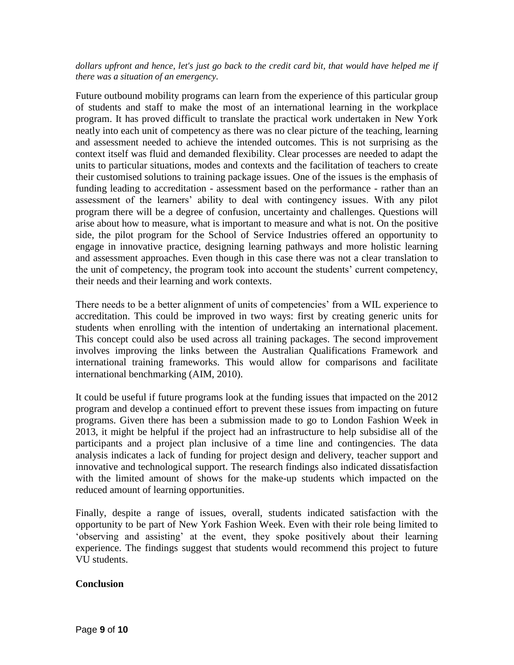#### *dollars upfront and hence, let's just go back to the credit card bit, that would have helped me if there was a situation of an emergency.*

Future outbound mobility programs can learn from the experience of this particular group of students and staff to make the most of an international learning in the workplace program. It has proved difficult to translate the practical work undertaken in New York neatly into each unit of competency as there was no clear picture of the teaching, learning and assessment needed to achieve the intended outcomes. This is not surprising as the context itself was fluid and demanded flexibility. Clear processes are needed to adapt the units to particular situations, modes and contexts and the facilitation of teachers to create their customised solutions to training package issues. One of the issues is the emphasis of funding leading to accreditation - assessment based on the performance - rather than an assessment of the learners' ability to deal with contingency issues. With any pilot program there will be a degree of confusion, uncertainty and challenges. Questions will arise about how to measure, what is important to measure and what is not. On the positive side, the pilot program for the School of Service Industries offered an opportunity to engage in innovative practice, designing learning pathways and more holistic learning and assessment approaches. Even though in this case there was not a clear translation to the unit of competency, the program took into account the students' current competency, their needs and their learning and work contexts.

There needs to be a better alignment of units of competencies' from a WIL experience to accreditation. This could be improved in two ways: first by creating generic units for students when enrolling with the intention of undertaking an international placement. This concept could also be used across all training packages. The second improvement involves improving the links between the Australian Qualifications Framework and international training frameworks. This would allow for comparisons and facilitate international benchmarking [\(AIM, 2010\)](#page-9-7).

It could be useful if future programs look at the funding issues that impacted on the 2012 program and develop a continued effort to prevent these issues from impacting on future programs. Given there has been a submission made to go to London Fashion Week in 2013, it might be helpful if the project had an infrastructure to help subsidise all of the participants and a project plan inclusive of a time line and contingencies. The data analysis indicates a lack of funding for project design and delivery, teacher support and innovative and technological support. The research findings also indicated dissatisfaction with the limited amount of shows for the make-up students which impacted on the reduced amount of learning opportunities.

Finally, despite a range of issues, overall, students indicated satisfaction with the opportunity to be part of New York Fashion Week. Even with their role being limited to 'observing and assisting' at the event, they spoke positively about their learning experience. The findings suggest that students would recommend this project to future VU students.

## **Conclusion**